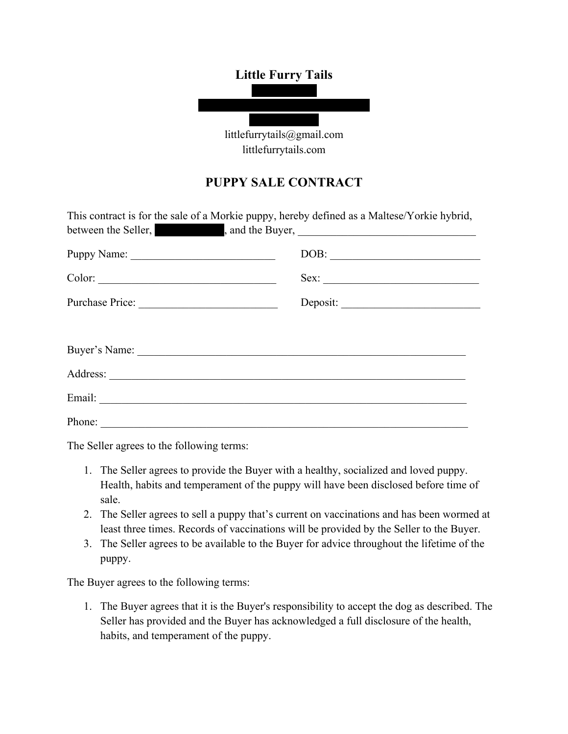## **Little Furry Tails**



littlefurrytails.com

## **PUPPY SALE CONTRACT**

| This contract is for the sale of a Morkie puppy, hereby defined as a Maltese/Yorkie hybrid,<br>between the Seller, and the Buyer, <u>example and the Buyer</u> |                                                                                                                                                                                                                                                                                                                                                                                     |
|----------------------------------------------------------------------------------------------------------------------------------------------------------------|-------------------------------------------------------------------------------------------------------------------------------------------------------------------------------------------------------------------------------------------------------------------------------------------------------------------------------------------------------------------------------------|
| Puppy Name:                                                                                                                                                    | $\boxed{\text{DOB:}\n \begin{picture}(10,0) \label{fig:2} \put(0,0){\dashbox{0.5}(10,0){ }} \put(0,0){\dashbox{0.5}(10,0){ }} \put(0,0){\dashbox{0.5}(10,0){ }} \put(0,0){\dashbox{0.5}(10,0){ }} \put(0,0){\dashbox{0.5}(10,0){ }} \put(0,0){\dashbox{0.5}(10,0){ }} \put(0,0){\dashbox{0.5}(10,0){ }} \put(0,0){\dashbox{0.5}(10,0){ }} \put(0,0){\dashbox{0.5}(10,0){ }} \put(0$ |
| Color:                                                                                                                                                         | Sex:                                                                                                                                                                                                                                                                                                                                                                                |
| Purchase Price:                                                                                                                                                | Deposit:                                                                                                                                                                                                                                                                                                                                                                            |
|                                                                                                                                                                |                                                                                                                                                                                                                                                                                                                                                                                     |
|                                                                                                                                                                |                                                                                                                                                                                                                                                                                                                                                                                     |
|                                                                                                                                                                |                                                                                                                                                                                                                                                                                                                                                                                     |
| Email:                                                                                                                                                         |                                                                                                                                                                                                                                                                                                                                                                                     |
| Phone:                                                                                                                                                         |                                                                                                                                                                                                                                                                                                                                                                                     |

The Seller agrees to the following terms:

- 1. The Seller agrees to provide the Buyer with a healthy, socialized and loved puppy. Health, habits and temperament of the puppy will have been disclosed before time of sale.
- 2. The Seller agrees to sell a puppy that's current on vaccinations and has been wormed at least three times. Records of vaccinations will be provided by the Seller to the Buyer.
- 3. The Seller agrees to be available to the Buyer for advice throughout the lifetime of the puppy.

The Buyer agrees to the following terms:

1. The Buyer agrees that it is the Buyer's responsibility to accept the dog as described. The Seller has provided and the Buyer has acknowledged a full disclosure of the health, habits, and temperament of the puppy.